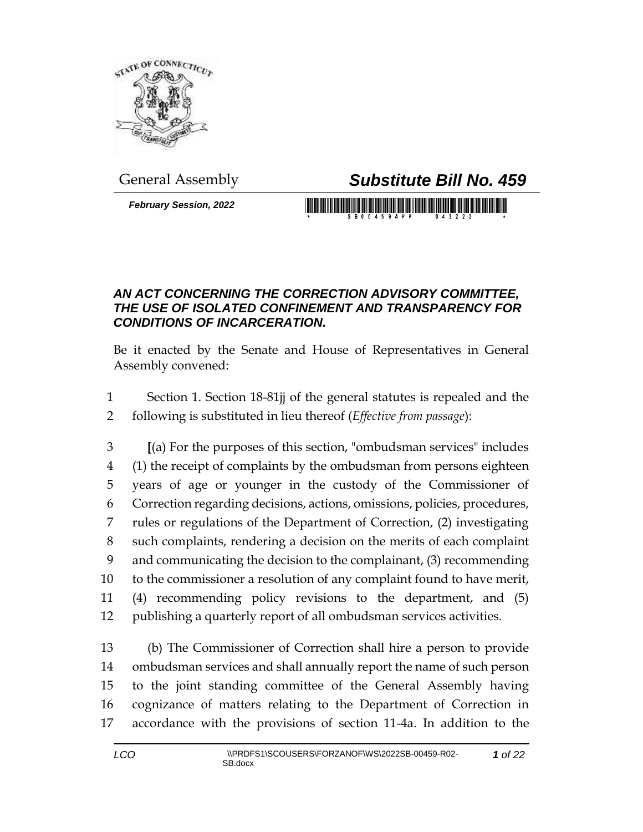

## General Assembly *Substitute Bill No. 459*

*February Session, 2022*

## <u> III Martin Martin Martin III Martin Martin III Martin Martin Martin III Martin Martin Martin III Martin Marti</u>

## *AN ACT CONCERNING THE CORRECTION ADVISORY COMMITTEE, THE USE OF ISOLATED CONFINEMENT AND TRANSPARENCY FOR CONDITIONS OF INCARCERATION.*

Be it enacted by the Senate and House of Representatives in General Assembly convened:

 Section 1. Section 18-81jj of the general statutes is repealed and the following is substituted in lieu thereof (*Effective from passage*):

 **[**(a) For the purposes of this section, "ombudsman services" includes (1) the receipt of complaints by the ombudsman from persons eighteen years of age or younger in the custody of the Commissioner of Correction regarding decisions, actions, omissions, policies, procedures, rules or regulations of the Department of Correction, (2) investigating such complaints, rendering a decision on the merits of each complaint and communicating the decision to the complainant, (3) recommending to the commissioner a resolution of any complaint found to have merit, (4) recommending policy revisions to the department, and (5) publishing a quarterly report of all ombudsman services activities.

 (b) The Commissioner of Correction shall hire a person to provide ombudsman services and shall annually report the name of such person to the joint standing committee of the General Assembly having cognizance of matters relating to the Department of Correction in accordance with the provisions of section 11-4a. In addition to the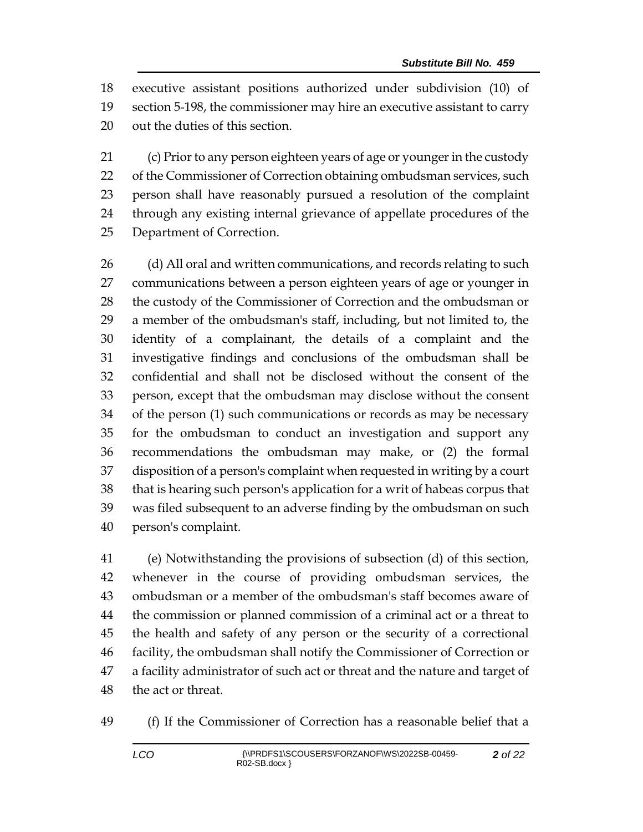executive assistant positions authorized under subdivision (10) of section 5-198, the commissioner may hire an executive assistant to carry out the duties of this section.

 (c) Prior to any person eighteen years of age or younger in the custody 22 of the Commissioner of Correction obtaining ombudsman services, such person shall have reasonably pursued a resolution of the complaint through any existing internal grievance of appellate procedures of the Department of Correction.

26 (d) All oral and written communications, and records relating to such communications between a person eighteen years of age or younger in the custody of the Commissioner of Correction and the ombudsman or a member of the ombudsman's staff, including, but not limited to, the identity of a complainant, the details of a complaint and the investigative findings and conclusions of the ombudsman shall be confidential and shall not be disclosed without the consent of the person, except that the ombudsman may disclose without the consent of the person (1) such communications or records as may be necessary for the ombudsman to conduct an investigation and support any recommendations the ombudsman may make, or (2) the formal disposition of a person's complaint when requested in writing by a court that is hearing such person's application for a writ of habeas corpus that was filed subsequent to an adverse finding by the ombudsman on such person's complaint.

 (e) Notwithstanding the provisions of subsection (d) of this section, whenever in the course of providing ombudsman services, the ombudsman or a member of the ombudsman's staff becomes aware of the commission or planned commission of a criminal act or a threat to the health and safety of any person or the security of a correctional facility, the ombudsman shall notify the Commissioner of Correction or a facility administrator of such act or threat and the nature and target of the act or threat.

(f) If the Commissioner of Correction has a reasonable belief that a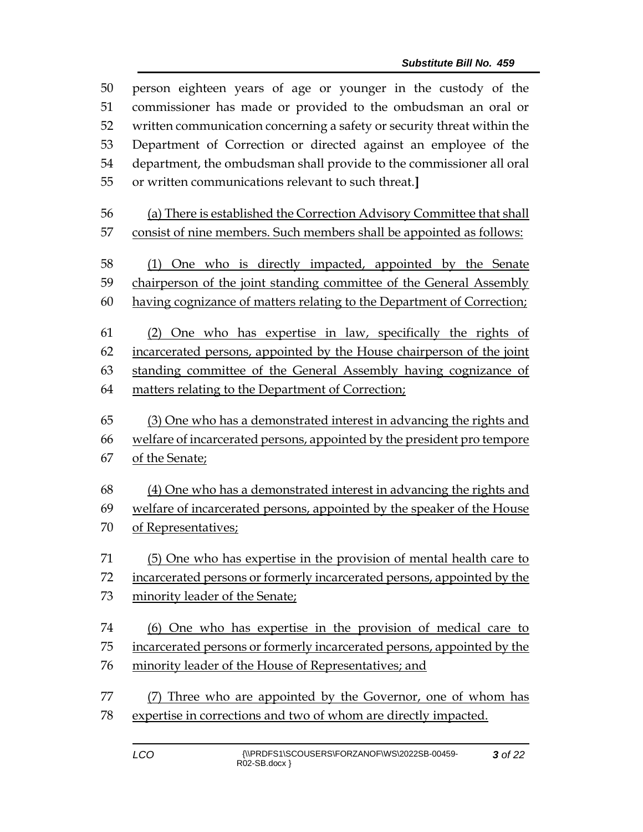| 50       | person eighteen years of age or younger in the custody of the                                 |  |  |  |  |
|----------|-----------------------------------------------------------------------------------------------|--|--|--|--|
| 51       | commissioner has made or provided to the ombudsman an oral or                                 |  |  |  |  |
| 52       | written communication concerning a safety or security threat within the                       |  |  |  |  |
| 53       | Department of Correction or directed against an employee of the                               |  |  |  |  |
| 54       | department, the ombudsman shall provide to the commissioner all oral                          |  |  |  |  |
| 55       | or written communications relevant to such threat.]                                           |  |  |  |  |
| 56       | (a) There is established the Correction Advisory Committee that shall                         |  |  |  |  |
| 57       | consist of nine members. Such members shall be appointed as follows:                          |  |  |  |  |
| 58       | (1) One who is directly impacted, appointed by the Senate                                     |  |  |  |  |
| 59       | chairperson of the joint standing committee of the General Assembly                           |  |  |  |  |
| 60       | having cognizance of matters relating to the Department of Correction;                        |  |  |  |  |
| 61       | (2) One who has expertise in law, specifically the rights of                                  |  |  |  |  |
| 62       | incarcerated persons, appointed by the House chairperson of the joint                         |  |  |  |  |
| 63       | standing committee of the General Assembly having cognizance of                               |  |  |  |  |
| 64       | matters relating to the Department of Correction;                                             |  |  |  |  |
|          |                                                                                               |  |  |  |  |
|          |                                                                                               |  |  |  |  |
| 65<br>66 | (3) One who has a demonstrated interest in advancing the rights and                           |  |  |  |  |
| 67       | welfare of incarcerated persons, appointed by the president pro tempore<br>of the Senate;     |  |  |  |  |
| 68       |                                                                                               |  |  |  |  |
| 69       | (4) One who has a demonstrated interest in advancing the rights and                           |  |  |  |  |
| 70       | welfare of incarcerated persons, appointed by the speaker of the House<br>of Representatives; |  |  |  |  |
| 71       | (5) One who has expertise in the provision of mental health care to                           |  |  |  |  |
| 72       | incarcerated persons or formerly incarcerated persons, appointed by the                       |  |  |  |  |
| 73       | minority leader of the Senate;                                                                |  |  |  |  |
| 74       | (6) One who has expertise in the provision of medical care to                                 |  |  |  |  |
| 75       | incarcerated persons or formerly incarcerated persons, appointed by the                       |  |  |  |  |
| 76       | minority leader of the House of Representatives; and                                          |  |  |  |  |
| 77       | (7) Three who are appointed by the Governor, one of whom has                                  |  |  |  |  |
| 78       | expertise in corrections and two of whom are directly impacted.                               |  |  |  |  |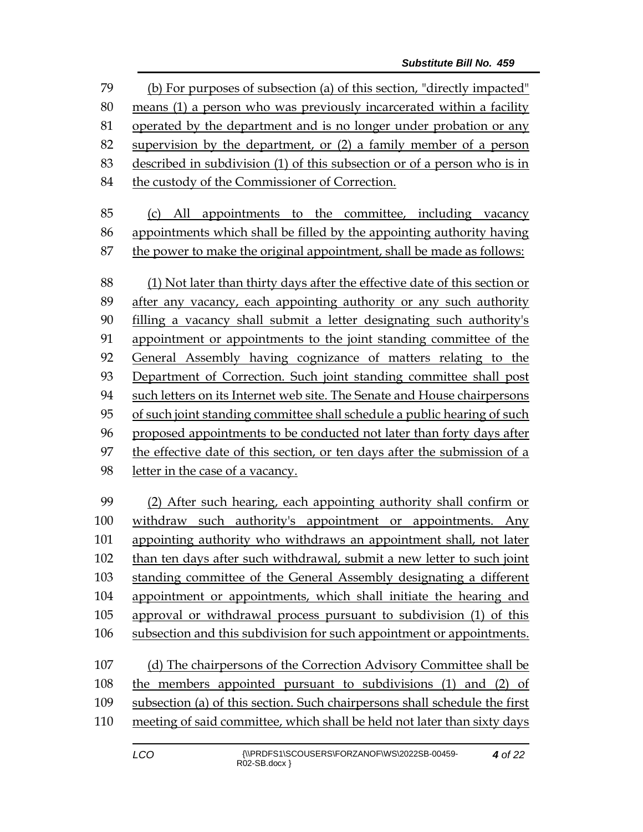(b) For purposes of subsection (a) of this section, "directly impacted" means (1) a person who was previously incarcerated within a facility operated by the department and is no longer under probation or any supervision by the department, or (2) a family member of a person described in subdivision (1) of this subsection or of a person who is in 84 the custody of the Commissioner of Correction. (c) All appointments to the committee, including vacancy appointments which shall be filled by the appointing authority having the power to make the original appointment, shall be made as follows: (1) Not later than thirty days after the effective date of this section or after any vacancy, each appointing authority or any such authority filling a vacancy shall submit a letter designating such authority's appointment or appointments to the joint standing committee of the General Assembly having cognizance of matters relating to the Department of Correction. Such joint standing committee shall post such letters on its Internet web site. The Senate and House chairpersons of such joint standing committee shall schedule a public hearing of such proposed appointments to be conducted not later than forty days after the effective date of this section, or ten days after the submission of a letter in the case of a vacancy. (2) After such hearing, each appointing authority shall confirm or withdraw such authority's appointment or appointments. Any appointing authority who withdraws an appointment shall, not later than ten days after such withdrawal, submit a new letter to such joint standing committee of the General Assembly designating a different appointment or appointments, which shall initiate the hearing and approval or withdrawal process pursuant to subdivision (1) of this subsection and this subdivision for such appointment or appointments. (d) The chairpersons of the Correction Advisory Committee shall be the members appointed pursuant to subdivisions (1) and (2) of subsection (a) of this section. Such chairpersons shall schedule the first meeting of said committee, which shall be held not later than sixty days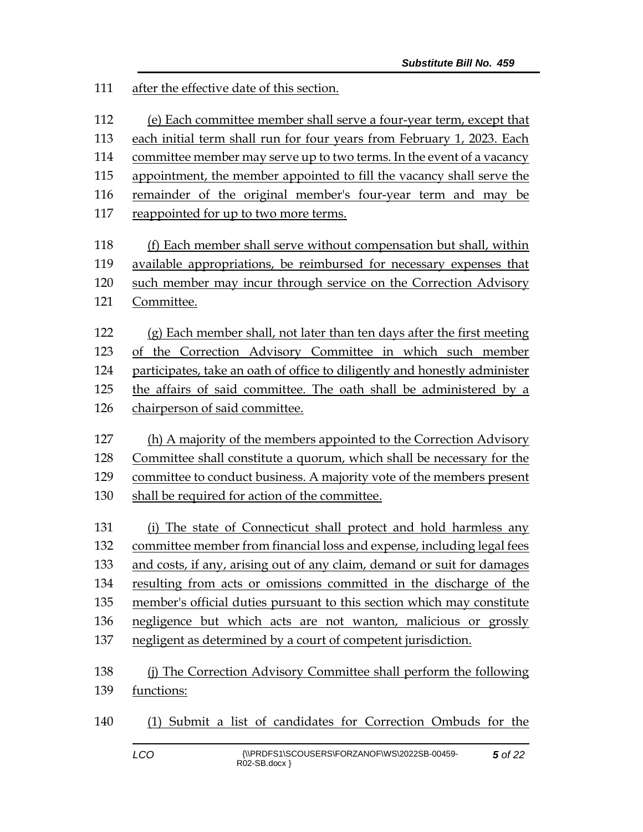after the effective date of this section.

(e) Each committee member shall serve a four-year term, except that

each initial term shall run for four years from February 1, 2023. Each

committee member may serve up to two terms. In the event of a vacancy

appointment, the member appointed to fill the vacancy shall serve the

remainder of the original member's four-year term and may be

reappointed for up to two more terms.

 (f) Each member shall serve without compensation but shall, within available appropriations, be reimbursed for necessary expenses that such member may incur through service on the Correction Advisory Committee.

 $(g)$  Each member shall, not later than ten days after the first meeting of the Correction Advisory Committee in which such member participates, take an oath of office to diligently and honestly administer the affairs of said committee. The oath shall be administered by a chairperson of said committee.

 (h) A majority of the members appointed to the Correction Advisory Committee shall constitute a quorum, which shall be necessary for the committee to conduct business. A majority vote of the members present shall be required for action of the committee.

 (i) The state of Connecticut shall protect and hold harmless any committee member from financial loss and expense, including legal fees and costs, if any, arising out of any claim, demand or suit for damages resulting from acts or omissions committed in the discharge of the member's official duties pursuant to this section which may constitute negligence but which acts are not wanton, malicious or grossly negligent as determined by a court of competent jurisdiction.

 (j) The Correction Advisory Committee shall perform the following functions:

(1) Submit a list of candidates for Correction Ombuds for the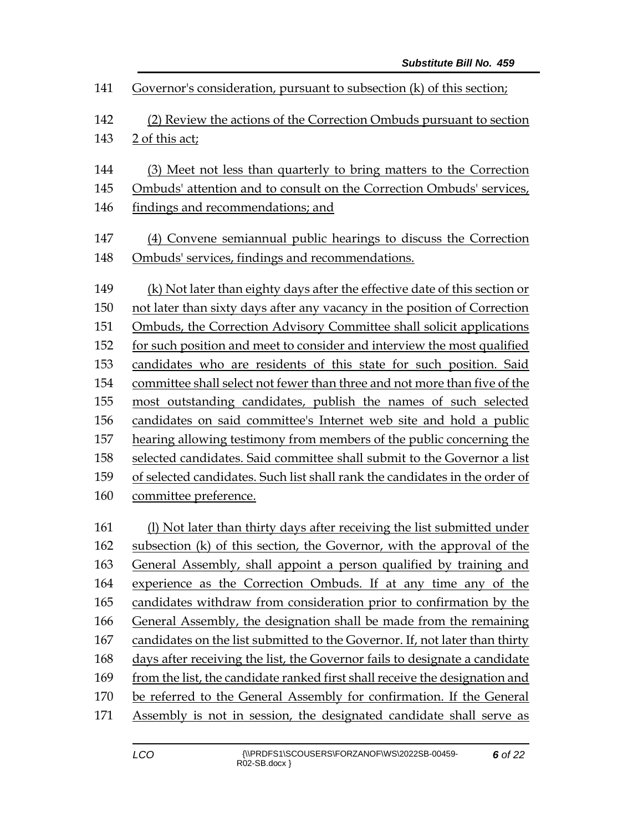| 141 | Governor's consideration, pursuant to subsection (k) of this section;       |  |  |  |  |
|-----|-----------------------------------------------------------------------------|--|--|--|--|
| 142 | (2) Review the actions of the Correction Ombuds pursuant to section         |  |  |  |  |
| 143 | 2 of this act;                                                              |  |  |  |  |
| 144 | (3) Meet not less than quarterly to bring matters to the Correction         |  |  |  |  |
| 145 | Ombuds' attention and to consult on the Correction Ombuds' services,        |  |  |  |  |
| 146 | findings and recommendations; and                                           |  |  |  |  |
| 147 | (4) Convene semiannual public hearings to discuss the Correction            |  |  |  |  |
| 148 | Ombuds' services, findings and recommendations.                             |  |  |  |  |
| 149 | (k) Not later than eighty days after the effective date of this section or  |  |  |  |  |
| 150 | not later than sixty days after any vacancy in the position of Correction   |  |  |  |  |
| 151 | <b>Ombuds, the Correction Advisory Committee shall solicit applications</b> |  |  |  |  |
| 152 | for such position and meet to consider and interview the most qualified     |  |  |  |  |
| 153 | candidates who are residents of this state for such position. Said          |  |  |  |  |
| 154 | committee shall select not fewer than three and not more than five of the   |  |  |  |  |
| 155 | most outstanding candidates, publish the names of such selected             |  |  |  |  |
| 156 | candidates on said committee's Internet web site and hold a public          |  |  |  |  |
| 157 | hearing allowing testimony from members of the public concerning the        |  |  |  |  |
| 158 | selected candidates. Said committee shall submit to the Governor a list     |  |  |  |  |
| 159 | of selected candidates. Such list shall rank the candidates in the order of |  |  |  |  |
| 160 | committee preference.                                                       |  |  |  |  |
| 161 | (1) Not later than thirty days after receiving the list submitted under     |  |  |  |  |
| 162 | subsection (k) of this section, the Governor, with the approval of the      |  |  |  |  |
| 163 | General Assembly, shall appoint a person qualified by training and          |  |  |  |  |
| 164 | experience as the Correction Ombuds. If at any time any of the              |  |  |  |  |
| 165 | candidates withdraw from consideration prior to confirmation by the         |  |  |  |  |
| 166 | General Assembly, the designation shall be made from the remaining          |  |  |  |  |
| 167 | candidates on the list submitted to the Governor. If, not later than thirty |  |  |  |  |
| 168 | days after receiving the list, the Governor fails to designate a candidate  |  |  |  |  |
| 169 | from the list, the candidate ranked first shall receive the designation and |  |  |  |  |
| 170 | be referred to the General Assembly for confirmation. If the General        |  |  |  |  |
| 171 | Assembly is not in session, the designated candidate shall serve as         |  |  |  |  |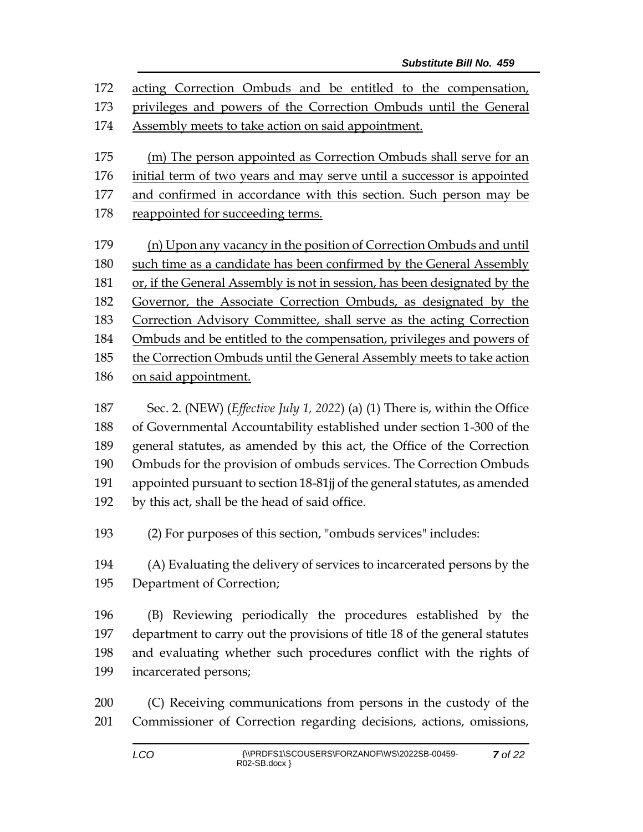acting Correction Ombuds and be entitled to the compensation, privileges and powers of the Correction Ombuds until the General Assembly meets to take action on said appointment. (m) The person appointed as Correction Ombuds shall serve for an initial term of two years and may serve until a successor is appointed 177 and confirmed in accordance with this section. Such person may be reappointed for succeeding terms. (n) Upon any vacancy in the position of Correction Ombuds and until such time as a candidate has been confirmed by the General Assembly or, if the General Assembly is not in session, has been designated by the Governor, the Associate Correction Ombuds, as designated by the Correction Advisory Committee, shall serve as the acting Correction Ombuds and be entitled to the compensation, privileges and powers of the Correction Ombuds until the General Assembly meets to take action on said appointment.

 Sec. 2. (NEW) (*Effective July 1, 2022*) (a) (1) There is, within the Office of Governmental Accountability established under section 1-300 of the general statutes, as amended by this act, the Office of the Correction Ombuds for the provision of ombuds services. The Correction Ombuds appointed pursuant to section 18-81jj of the general statutes, as amended by this act, shall be the head of said office.

(2) For purposes of this section, "ombuds services" includes:

 (A) Evaluating the delivery of services to incarcerated persons by the Department of Correction;

 (B) Reviewing periodically the procedures established by the department to carry out the provisions of title 18 of the general statutes and evaluating whether such procedures conflict with the rights of incarcerated persons;

 (C) Receiving communications from persons in the custody of the Commissioner of Correction regarding decisions, actions, omissions,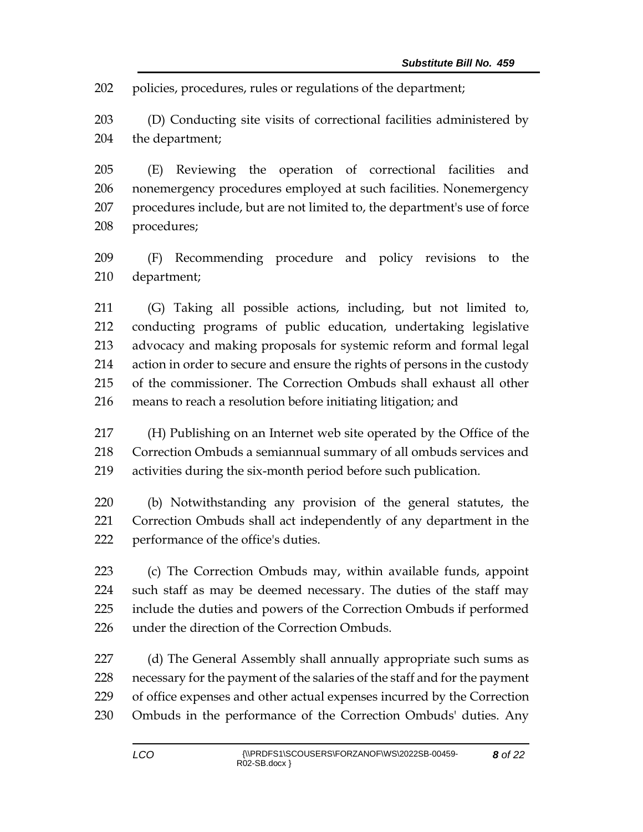policies, procedures, rules or regulations of the department;

 (D) Conducting site visits of correctional facilities administered by the department;

 (E) Reviewing the operation of correctional facilities and nonemergency procedures employed at such facilities. Nonemergency procedures include, but are not limited to, the department's use of force procedures;

 (F) Recommending procedure and policy revisions to the department;

 (G) Taking all possible actions, including, but not limited to, conducting programs of public education, undertaking legislative advocacy and making proposals for systemic reform and formal legal action in order to secure and ensure the rights of persons in the custody of the commissioner. The Correction Ombuds shall exhaust all other means to reach a resolution before initiating litigation; and

 (H) Publishing on an Internet web site operated by the Office of the Correction Ombuds a semiannual summary of all ombuds services and activities during the six-month period before such publication.

 (b) Notwithstanding any provision of the general statutes, the Correction Ombuds shall act independently of any department in the performance of the office's duties.

 (c) The Correction Ombuds may, within available funds, appoint such staff as may be deemed necessary. The duties of the staff may include the duties and powers of the Correction Ombuds if performed under the direction of the Correction Ombuds.

227 (d) The General Assembly shall annually appropriate such sums as necessary for the payment of the salaries of the staff and for the payment of office expenses and other actual expenses incurred by the Correction Ombuds in the performance of the Correction Ombuds' duties. Any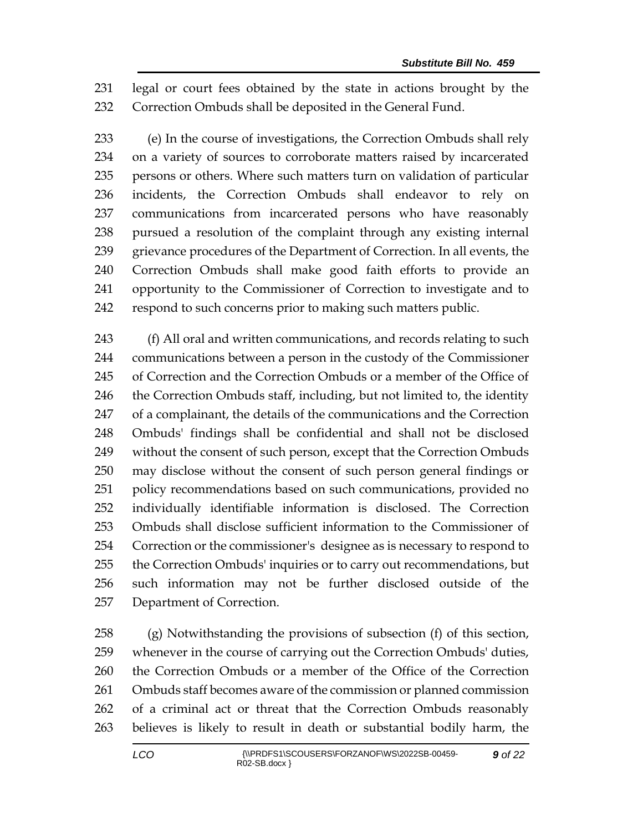legal or court fees obtained by the state in actions brought by the Correction Ombuds shall be deposited in the General Fund.

 (e) In the course of investigations, the Correction Ombuds shall rely on a variety of sources to corroborate matters raised by incarcerated persons or others. Where such matters turn on validation of particular incidents, the Correction Ombuds shall endeavor to rely on communications from incarcerated persons who have reasonably pursued a resolution of the complaint through any existing internal grievance procedures of the Department of Correction. In all events, the Correction Ombuds shall make good faith efforts to provide an opportunity to the Commissioner of Correction to investigate and to respond to such concerns prior to making such matters public.

243 (f) All oral and written communications, and records relating to such communications between a person in the custody of the Commissioner of Correction and the Correction Ombuds or a member of the Office of 246 the Correction Ombuds staff, including, but not limited to, the identity of a complainant, the details of the communications and the Correction Ombuds' findings shall be confidential and shall not be disclosed without the consent of such person, except that the Correction Ombuds may disclose without the consent of such person general findings or policy recommendations based on such communications, provided no individually identifiable information is disclosed. The Correction Ombuds shall disclose sufficient information to the Commissioner of Correction or the commissioner's designee as is necessary to respond to the Correction Ombuds' inquiries or to carry out recommendations, but such information may not be further disclosed outside of the Department of Correction.

 (g) Notwithstanding the provisions of subsection (f) of this section, whenever in the course of carrying out the Correction Ombuds' duties, the Correction Ombuds or a member of the Office of the Correction Ombuds staff becomes aware of the commission or planned commission of a criminal act or threat that the Correction Ombuds reasonably believes is likely to result in death or substantial bodily harm, the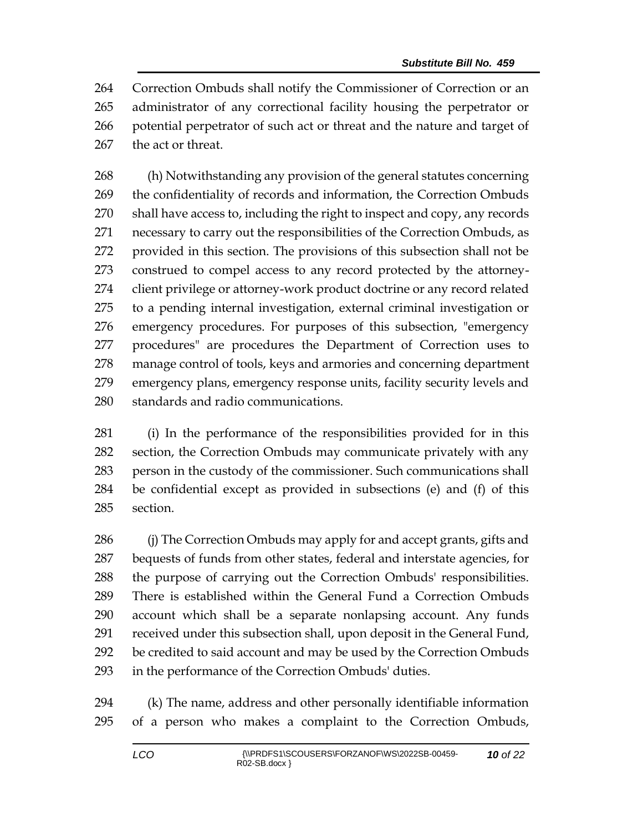Correction Ombuds shall notify the Commissioner of Correction or an administrator of any correctional facility housing the perpetrator or potential perpetrator of such act or threat and the nature and target of the act or threat.

 (h) Notwithstanding any provision of the general statutes concerning the confidentiality of records and information, the Correction Ombuds shall have access to, including the right to inspect and copy, any records necessary to carry out the responsibilities of the Correction Ombuds, as provided in this section. The provisions of this subsection shall not be construed to compel access to any record protected by the attorney- client privilege or attorney-work product doctrine or any record related to a pending internal investigation, external criminal investigation or emergency procedures. For purposes of this subsection, "emergency procedures" are procedures the Department of Correction uses to manage control of tools, keys and armories and concerning department emergency plans, emergency response units, facility security levels and standards and radio communications.

 (i) In the performance of the responsibilities provided for in this section, the Correction Ombuds may communicate privately with any person in the custody of the commissioner. Such communications shall be confidential except as provided in subsections (e) and (f) of this section.

 (j) The Correction Ombuds may apply for and accept grants, gifts and bequests of funds from other states, federal and interstate agencies, for the purpose of carrying out the Correction Ombuds' responsibilities. There is established within the General Fund a Correction Ombuds account which shall be a separate nonlapsing account. Any funds received under this subsection shall, upon deposit in the General Fund, be credited to said account and may be used by the Correction Ombuds in the performance of the Correction Ombuds' duties.

 (k) The name, address and other personally identifiable information of a person who makes a complaint to the Correction Ombuds,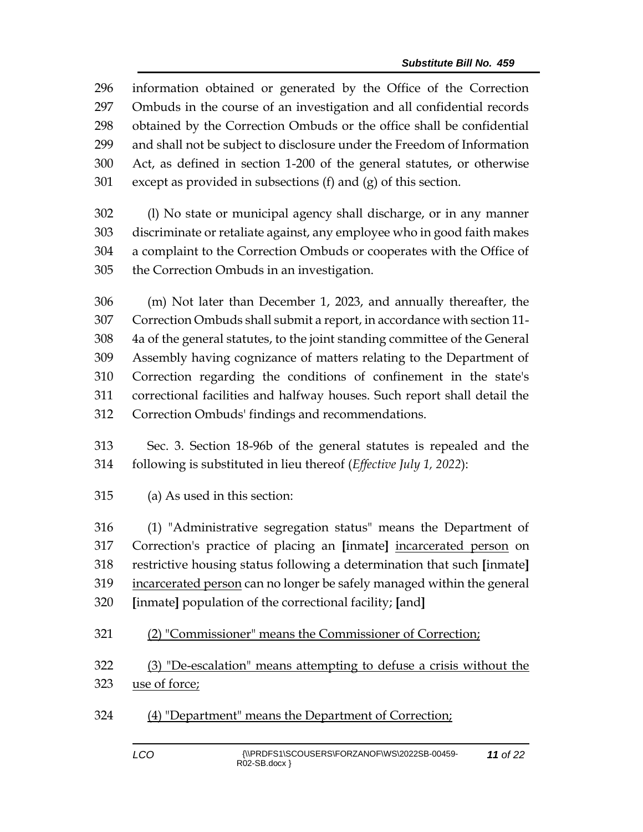information obtained or generated by the Office of the Correction Ombuds in the course of an investigation and all confidential records obtained by the Correction Ombuds or the office shall be confidential and shall not be subject to disclosure under the Freedom of Information Act, as defined in section 1-200 of the general statutes, or otherwise except as provided in subsections (f) and (g) of this section.

 (l) No state or municipal agency shall discharge, or in any manner discriminate or retaliate against, any employee who in good faith makes a complaint to the Correction Ombuds or cooperates with the Office of the Correction Ombuds in an investigation.

 (m) Not later than December 1, 2023, and annually thereafter, the Correction Ombuds shall submit a report, in accordance with section 11- 4a of the general statutes, to the joint standing committee of the General Assembly having cognizance of matters relating to the Department of Correction regarding the conditions of confinement in the state's correctional facilities and halfway houses. Such report shall detail the Correction Ombuds' findings and recommendations.

 Sec. 3. Section 18-96b of the general statutes is repealed and the following is substituted in lieu thereof (*Effective July 1, 2022*):

(a) As used in this section:

 (1) "Administrative segregation status" means the Department of Correction's practice of placing an **[**inmate**]** incarcerated person on restrictive housing status following a determination that such **[**inmate**]** incarcerated person can no longer be safely managed within the general **[**inmate**]** population of the correctional facility; **[**and**]**

(2) "Commissioner" means the Commissioner of Correction;

 (3) "De-escalation" means attempting to defuse a crisis without the use of force;

(4) "Department" means the Department of Correction;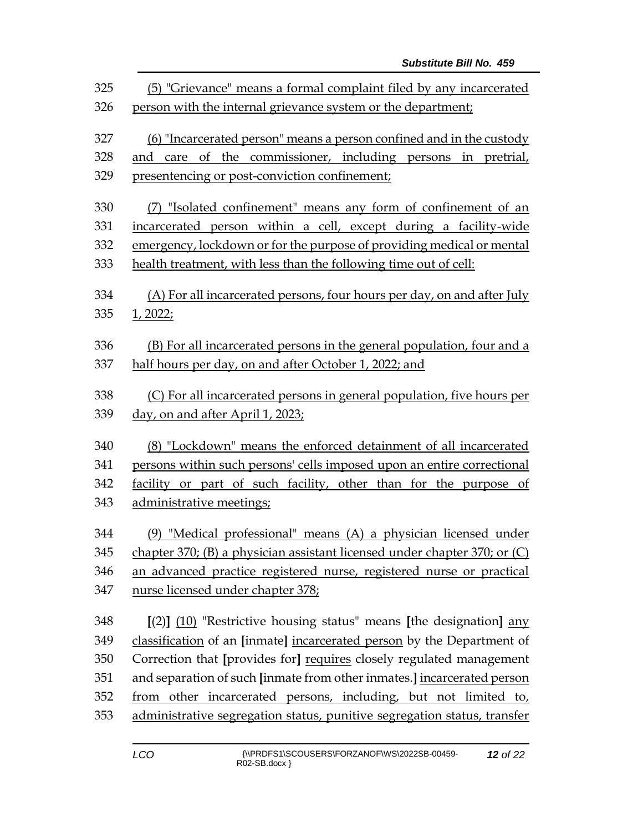| 325<br>326 | (5) "Grievance" means a formal complaint filed by any incarcerated<br>person with the internal grievance system or the department; |  |  |  |  |
|------------|------------------------------------------------------------------------------------------------------------------------------------|--|--|--|--|
| 327        | (6) "Incarcerated person" means a person confined and in the custody                                                               |  |  |  |  |
| 328        | and care of the commissioner, including persons in pretrial,                                                                       |  |  |  |  |
| 329        | presentencing or post-conviction confinement;                                                                                      |  |  |  |  |
| 330        | (7) "Isolated confinement" means any form of confinement of an                                                                     |  |  |  |  |
| 331        | incarcerated person within a cell, except during a facility-wide                                                                   |  |  |  |  |
| 332        | emergency, lockdown or for the purpose of providing medical or mental                                                              |  |  |  |  |
| 333        | health treatment, with less than the following time out of cell:                                                                   |  |  |  |  |
| 334        | (A) For all incarcerated persons, four hours per day, on and after July                                                            |  |  |  |  |
| 335        | <u>1, 2022;</u>                                                                                                                    |  |  |  |  |
| 336        | (B) For all incarcerated persons in the general population, four and a                                                             |  |  |  |  |
| 337        | half hours per day, on and after October 1, 2022; and                                                                              |  |  |  |  |
| 338        | (C) For all incarcerated persons in general population, five hours per                                                             |  |  |  |  |
| 339        | day, on and after April 1, 2023;                                                                                                   |  |  |  |  |
| 340        | (8) "Lockdown" means the enforced detainment of all incarcerated                                                                   |  |  |  |  |
| 341        | persons within such persons' cells imposed upon an entire correctional                                                             |  |  |  |  |
| 342        | facility or part of such facility, other than for the purpose of                                                                   |  |  |  |  |
| 343        | administrative meetings;                                                                                                           |  |  |  |  |
| 344        | (9) "Medical professional" means (A) a physician licensed under                                                                    |  |  |  |  |
| 345        | chapter 370; (B) a physician assistant licensed under chapter 370; or (C)                                                          |  |  |  |  |
| 346        | an advanced practice registered nurse, registered nurse or practical                                                               |  |  |  |  |
| 347        | nurse licensed under chapter 378;                                                                                                  |  |  |  |  |
| 348        | $[(2)]$ (10) "Restrictive housing status" means [the designation] any                                                              |  |  |  |  |
| 349        | classification of an [inmate] incarcerated person by the Department of                                                             |  |  |  |  |
| 350        | Correction that [provides for] requires closely regulated management                                                               |  |  |  |  |
| 351        | and separation of such [inmate from other inmates.] incarcerated person                                                            |  |  |  |  |
| 352        | from other incarcerated persons, including, but not limited to,                                                                    |  |  |  |  |
| 353        | administrative segregation status, punitive segregation status, transfer                                                           |  |  |  |  |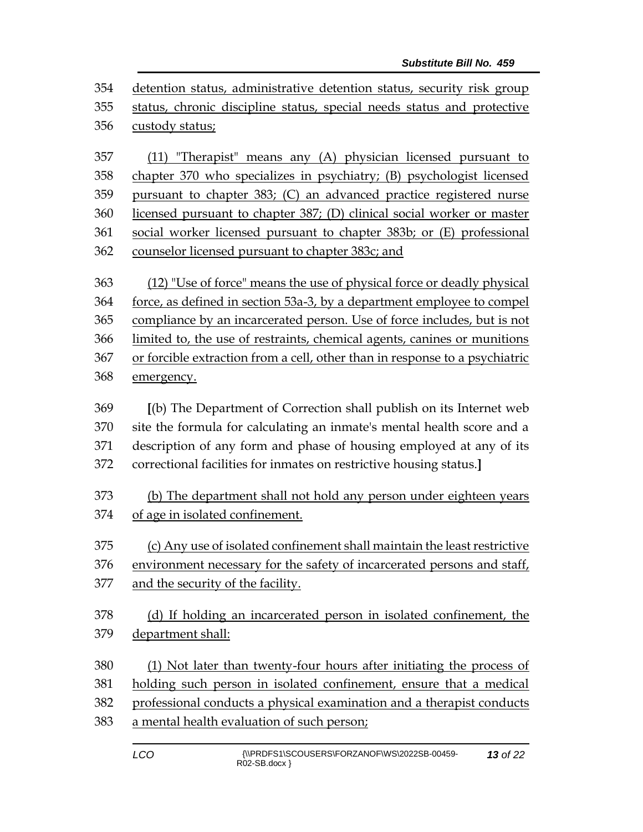detention status, administrative detention status, security risk group status, chronic discipline status, special needs status and protective custody status;

 (11) "Therapist" means any (A) physician licensed pursuant to chapter 370 who specializes in psychiatry; (B) psychologist licensed pursuant to chapter 383; (C) an advanced practice registered nurse licensed pursuant to chapter 387; (D) clinical social worker or master social worker licensed pursuant to chapter 383b; or (E) professional counselor licensed pursuant to chapter 383c; and

 (12) "Use of force" means the use of physical force or deadly physical force, as defined in section 53a-3, by a department employee to compel compliance by an incarcerated person. Use of force includes, but is not limited to, the use of restraints, chemical agents, canines or munitions or forcible extraction from a cell, other than in response to a psychiatric emergency.

 **[**(b) The Department of Correction shall publish on its Internet web site the formula for calculating an inmate's mental health score and a description of any form and phase of housing employed at any of its correctional facilities for inmates on restrictive housing status.**]**

 (b) The department shall not hold any person under eighteen years of age in isolated confinement.

 (c) Any use of isolated confinement shall maintain the least restrictive environment necessary for the safety of incarcerated persons and staff,

and the security of the facility.

 (d) If holding an incarcerated person in isolated confinement, the department shall:

 (1) Not later than twenty-four hours after initiating the process of holding such person in isolated confinement, ensure that a medical

professional conducts a physical examination and a therapist conducts

a mental health evaluation of such person;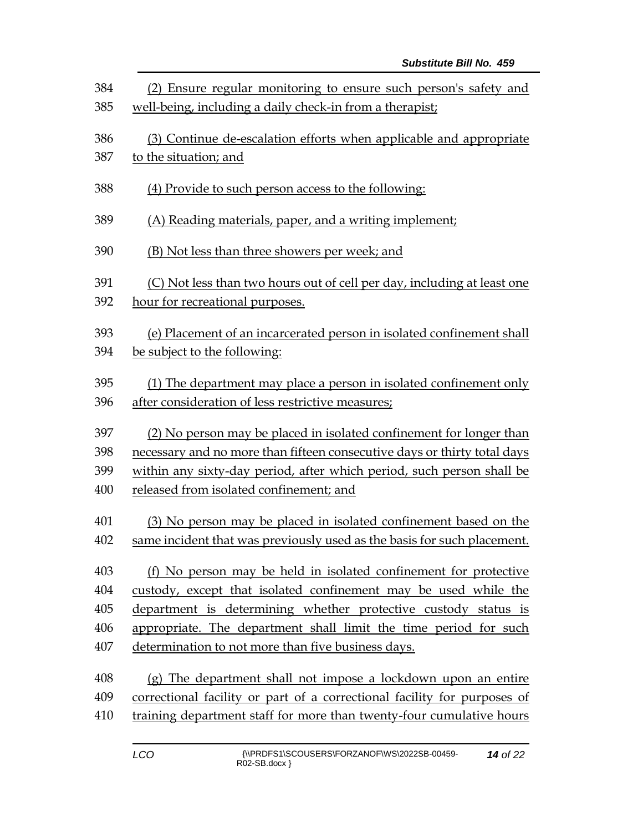| 384 | (2) Ensure regular monitoring to ensure such person's safety and         |  |  |  |
|-----|--------------------------------------------------------------------------|--|--|--|
| 385 | well-being, including a daily check-in from a therapist;                 |  |  |  |
| 386 | (3) Continue de-escalation efforts when applicable and appropriate       |  |  |  |
| 387 | to the situation; and                                                    |  |  |  |
| 388 | (4) Provide to such person access to the following:                      |  |  |  |
| 389 | (A) Reading materials, paper, and a writing implement;                   |  |  |  |
| 390 | (B) Not less than three showers per week; and                            |  |  |  |
| 391 | (C) Not less than two hours out of cell per day, including at least one  |  |  |  |
| 392 | hour for recreational purposes.                                          |  |  |  |
| 393 | (e) Placement of an incarcerated person in isolated confinement shall    |  |  |  |
| 394 |                                                                          |  |  |  |
|     | be subject to the following:                                             |  |  |  |
| 395 | (1) The department may place a person in isolated confinement only       |  |  |  |
| 396 | after consideration of less restrictive measures;                        |  |  |  |
| 397 | (2) No person may be placed in isolated confinement for longer than      |  |  |  |
| 398 | necessary and no more than fifteen consecutive days or thirty total days |  |  |  |
| 399 | within any sixty-day period, after which period, such person shall be    |  |  |  |
| 400 | released from isolated confinement; and                                  |  |  |  |
| 401 | (3) No person may be placed in isolated confinement based on the         |  |  |  |
| 402 | same incident that was previously used as the basis for such placement.  |  |  |  |
| 403 | (f) No person may be held in isolated confinement for protective         |  |  |  |
| 404 | custody, except that isolated confinement may be used while the          |  |  |  |
| 405 | department is determining whether protective custody status is           |  |  |  |
| 406 | appropriate. The department shall limit the time period for such         |  |  |  |
| 407 | determination to not more than five business days.                       |  |  |  |
| 408 | (g) The department shall not impose a lockdown upon an entire            |  |  |  |
| 409 | correctional facility or part of a correctional facility for purposes of |  |  |  |
| 410 | training department staff for more than twenty-four cumulative hours     |  |  |  |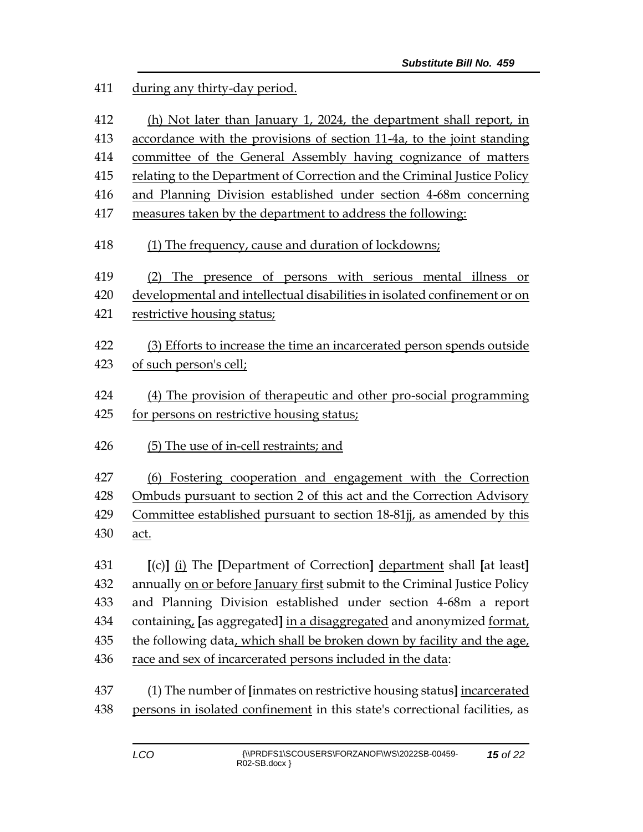during any thirty-day period.

 (h) Not later than January 1, 2024, the department shall report, in accordance with the provisions of section 11-4a, to the joint standing committee of the General Assembly having cognizance of matters relating to the Department of Correction and the Criminal Justice Policy and Planning Division established under section 4-68m concerning measures taken by the department to address the following: (1) The frequency, cause and duration of lockdowns; (2) The presence of persons with serious mental illness or developmental and intellectual disabilities in isolated confinement or on restrictive housing status; (3) Efforts to increase the time an incarcerated person spends outside of such person's cell; (4) The provision of therapeutic and other pro-social programming for persons on restrictive housing status; (5) The use of in-cell restraints; and (6) Fostering cooperation and engagement with the Correction Ombuds pursuant to section 2 of this act and the Correction Advisory Committee established pursuant to section 18-81jj, as amended by this act. **[**(c)**]** (i) The **[**Department of Correction**]** department shall **[**at least**]** annually on or before January first submit to the Criminal Justice Policy and Planning Division established under section 4-68m a report containing, **[**as aggregated**]** in a disaggregated and anonymized format, the following data, which shall be broken down by facility and the age, race and sex of incarcerated persons included in the data: (1) The number of **[**inmates on restrictive housing status**]** incarcerated persons in isolated confinement in this state's correctional facilities, as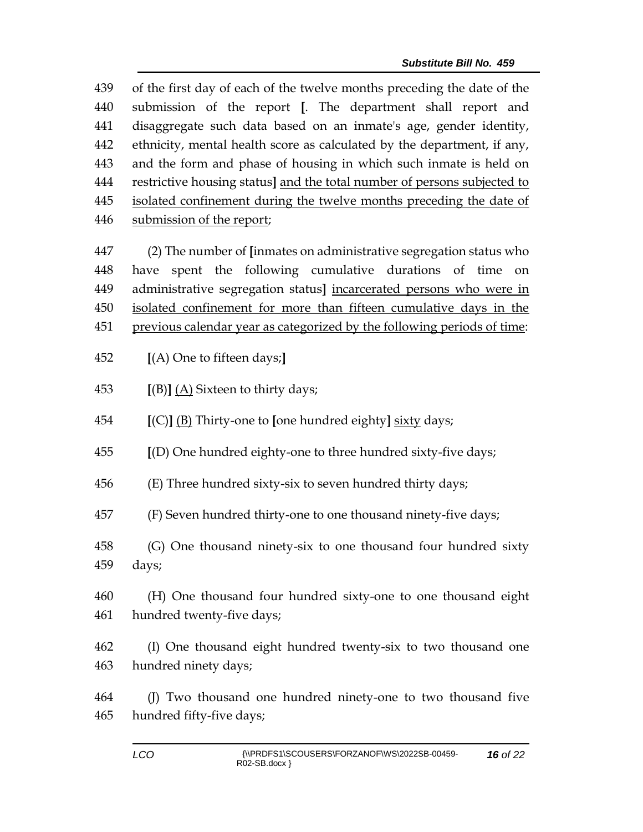of the first day of each of the twelve months preceding the date of the submission of the report **[**. The department shall report and disaggregate such data based on an inmate's age, gender identity, ethnicity, mental health score as calculated by the department, if any, and the form and phase of housing in which such inmate is held on restrictive housing status**]** and the total number of persons subjected to isolated confinement during the twelve months preceding the date of submission of the report;

 (2) The number of **[**inmates on administrative segregation status who have spent the following cumulative durations of time on administrative segregation status**]** incarcerated persons who were in isolated confinement for more than fifteen cumulative days in the previous calendar year as categorized by the following periods of time:

**[**(A) One to fifteen days;**]**

**[**(B)**]** (A) Sixteen to thirty days;

**[**(C)**]** (B) Thirty-one to **[**one hundred eighty**]** sixty days;

**[**(D) One hundred eighty-one to three hundred sixty-five days;

(E) Three hundred sixty-six to seven hundred thirty days;

(F) Seven hundred thirty-one to one thousand ninety-five days;

 (G) One thousand ninety-six to one thousand four hundred sixty days;

 (H) One thousand four hundred sixty-one to one thousand eight hundred twenty-five days;

 (I) One thousand eight hundred twenty-six to two thousand one hundred ninety days;

 (J) Two thousand one hundred ninety-one to two thousand five hundred fifty-five days;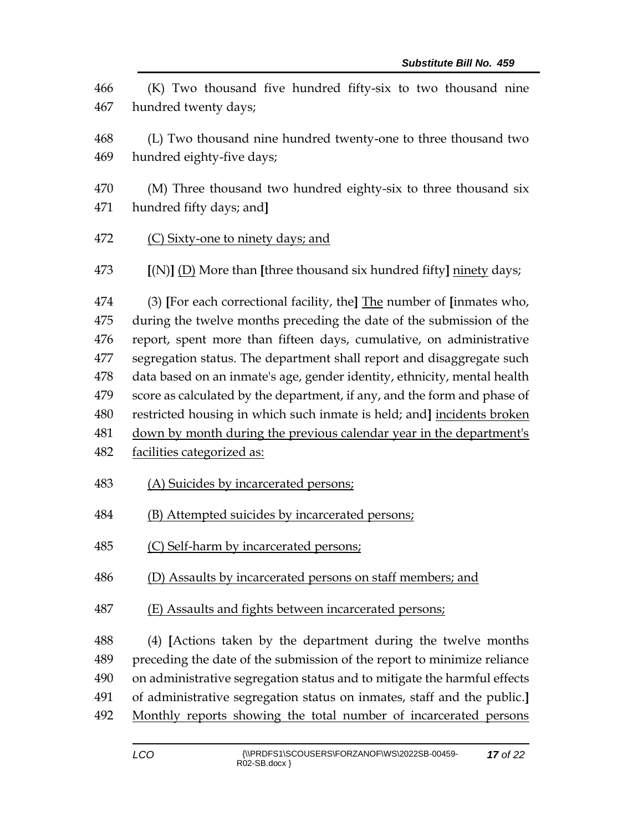(K) Two thousand five hundred fifty-six to two thousand nine hundred twenty days; (L) Two thousand nine hundred twenty-one to three thousand two hundred eighty-five days; (M) Three thousand two hundred eighty-six to three thousand six hundred fifty days; and**]** (C) Sixty-one to ninety days; and **[**(N)**]** (D) More than **[**three thousand six hundred fifty**]** ninety days; (3) **[**For each correctional facility, the**]** The number of **[**inmates who, during the twelve months preceding the date of the submission of the report, spent more than fifteen days, cumulative, on administrative segregation status. The department shall report and disaggregate such data based on an inmate's age, gender identity, ethnicity, mental health score as calculated by the department, if any, and the form and phase of restricted housing in which such inmate is held; and**]** incidents broken down by month during the previous calendar year in the department's facilities categorized as: (A) Suicides by incarcerated persons; (B) Attempted suicides by incarcerated persons; 485 (C) Self-harm by incarcerated persons; (D) Assaults by incarcerated persons on staff members; and (E) Assaults and fights between incarcerated persons; (4) **[**Actions taken by the department during the twelve months preceding the date of the submission of the report to minimize reliance on administrative segregation status and to mitigate the harmful effects of administrative segregation status on inmates, staff and the public.**]** Monthly reports showing the total number of incarcerated persons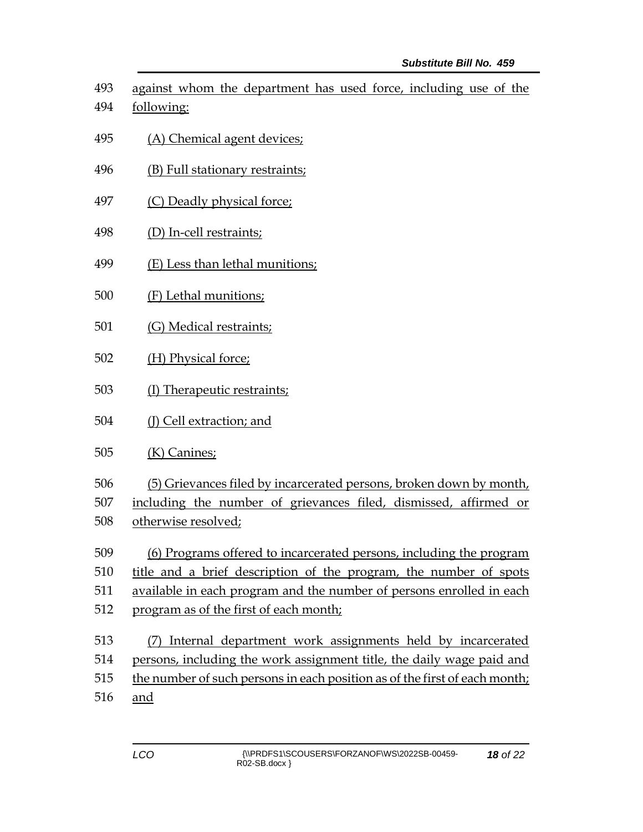against whom the department has used force, including use of the following:

- (A) Chemical agent devices;
- (B) Full stationary restraints;
- 497 (C) Deadly physical force;
- (D) In-cell restraints;
- (E) Less than lethal munitions;
- (F) Lethal munitions;
- (G) Medical restraints;
- (H) Physical force;
- (I) Therapeutic restraints;
- (J) Cell extraction; and
- (K) Canines;
- (5) Grievances filed by incarcerated persons, broken down by month,

including the number of grievances filed, dismissed, affirmed or

- otherwise resolved;
- (6) Programs offered to incarcerated persons, including the program
- title and a brief description of the program, the number of spots
- available in each program and the number of persons enrolled in each
- program as of the first of each month;
- (7) Internal department work assignments held by incarcerated persons, including the work assignment title, the daily wage paid and the number of such persons in each position as of the first of each month;
- and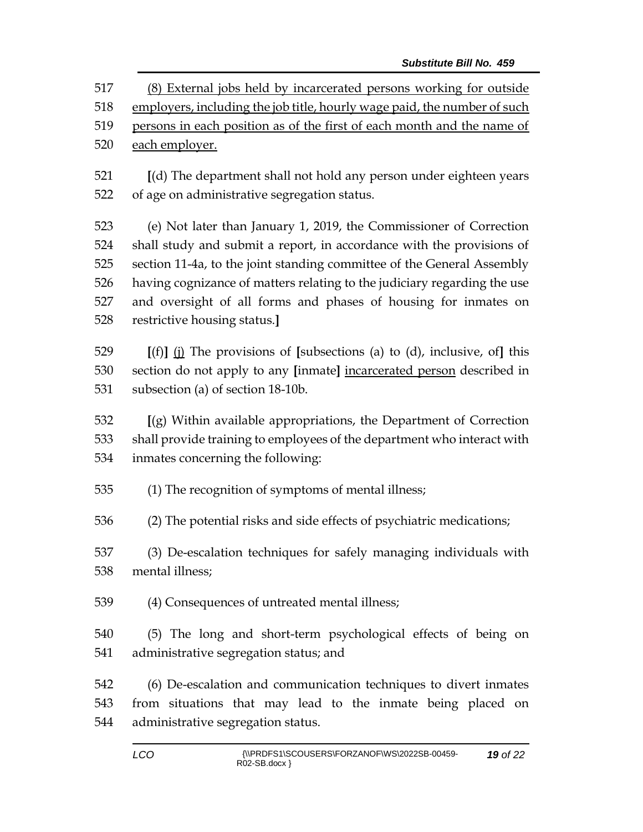*Substitute Bill No. 459* (8) External jobs held by incarcerated persons working for outside employers, including the job title, hourly wage paid, the number of such 519 persons in each position as of the first of each month and the name of 520 each employer. **[**(d) The department shall not hold any person under eighteen years of age on administrative segregation status. (e) Not later than January 1, 2019, the Commissioner of Correction shall study and submit a report, in accordance with the provisions of section 11-4a, to the joint standing committee of the General Assembly having cognizance of matters relating to the judiciary regarding the use and oversight of all forms and phases of housing for inmates on restrictive housing status.**] [**(f)**]** (j) The provisions of **[**subsections (a) to (d), inclusive, of**]** this section do not apply to any **[**inmate**]** incarcerated person described in subsection (a) of section 18-10b. **[**(g) Within available appropriations, the Department of Correction shall provide training to employees of the department who interact with inmates concerning the following: (1) The recognition of symptoms of mental illness; (2) The potential risks and side effects of psychiatric medications; (3) De-escalation techniques for safely managing individuals with mental illness; (4) Consequences of untreated mental illness;

 (5) The long and short-term psychological effects of being on administrative segregation status; and

 (6) De-escalation and communication techniques to divert inmates from situations that may lead to the inmate being placed on administrative segregation status.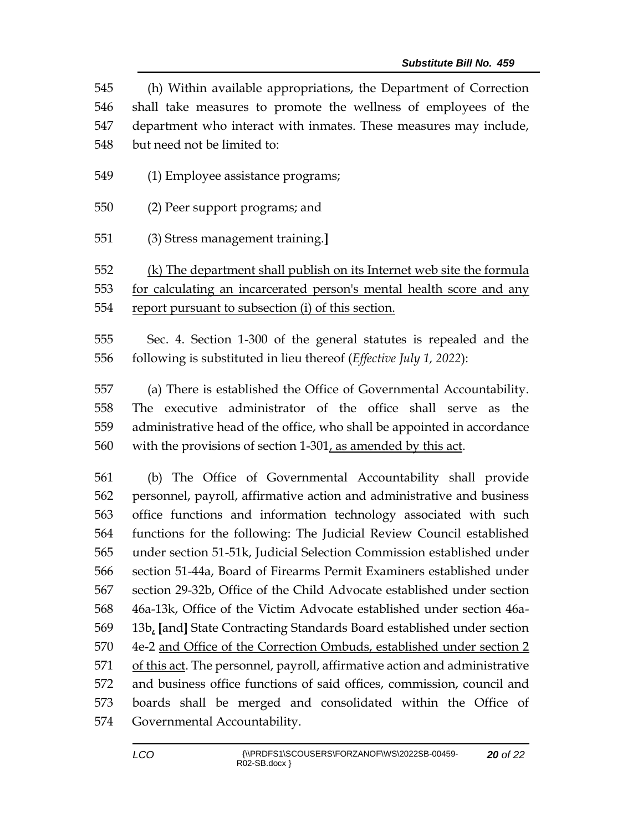(h) Within available appropriations, the Department of Correction shall take measures to promote the wellness of employees of the department who interact with inmates. These measures may include, but need not be limited to:

- (1) Employee assistance programs;
- (2) Peer support programs; and
- (3) Stress management training.**]**

 (k) The department shall publish on its Internet web site the formula for calculating an incarcerated person's mental health score and any report pursuant to subsection (i) of this section.

 Sec. 4. Section 1-300 of the general statutes is repealed and the following is substituted in lieu thereof (*Effective July 1, 2022*):

 (a) There is established the Office of Governmental Accountability. The executive administrator of the office shall serve as the administrative head of the office, who shall be appointed in accordance with the provisions of section 1-301, as amended by this act.

 (b) The Office of Governmental Accountability shall provide personnel, payroll, affirmative action and administrative and business office functions and information technology associated with such functions for the following: The Judicial Review Council established under section 51-51k, Judicial Selection Commission established under section 51-44a, Board of Firearms Permit Examiners established under section 29-32b, Office of the Child Advocate established under section 46a-13k, Office of the Victim Advocate established under section 46a- 13b, **[**and**]** State Contracting Standards Board established under section 4e-2 and Office of the Correction Ombuds, established under section 2 of this act. The personnel, payroll, affirmative action and administrative and business office functions of said offices, commission, council and boards shall be merged and consolidated within the Office of Governmental Accountability.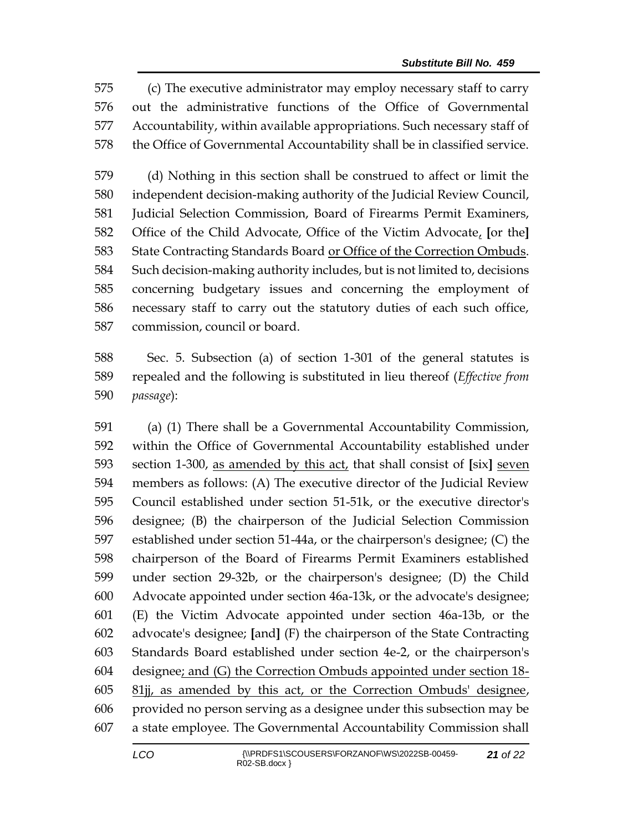(c) The executive administrator may employ necessary staff to carry out the administrative functions of the Office of Governmental Accountability, within available appropriations. Such necessary staff of the Office of Governmental Accountability shall be in classified service.

 (d) Nothing in this section shall be construed to affect or limit the independent decision-making authority of the Judicial Review Council, Judicial Selection Commission, Board of Firearms Permit Examiners, Office of the Child Advocate, Office of the Victim Advocate, **[**or the**]** State Contracting Standards Board or Office of the Correction Ombuds. Such decision-making authority includes, but is not limited to, decisions concerning budgetary issues and concerning the employment of necessary staff to carry out the statutory duties of each such office, commission, council or board.

 Sec. 5. Subsection (a) of section 1-301 of the general statutes is repealed and the following is substituted in lieu thereof (*Effective from passage*):

 (a) (1) There shall be a Governmental Accountability Commission, within the Office of Governmental Accountability established under section 1-300, as amended by this act, that shall consist of **[**six**]** seven members as follows: (A) The executive director of the Judicial Review Council established under section 51-51k, or the executive director's designee; (B) the chairperson of the Judicial Selection Commission established under section 51-44a, or the chairperson's designee; (C) the chairperson of the Board of Firearms Permit Examiners established under section 29-32b, or the chairperson's designee; (D) the Child Advocate appointed under section 46a-13k, or the advocate's designee; (E) the Victim Advocate appointed under section 46a-13b, or the advocate's designee; **[**and**]** (F) the chairperson of the State Contracting Standards Board established under section 4e-2, or the chairperson's designee; and (G) the Correction Ombuds appointed under section 18- 81jj, as amended by this act, or the Correction Ombuds' designee, provided no person serving as a designee under this subsection may be a state employee. The Governmental Accountability Commission shall